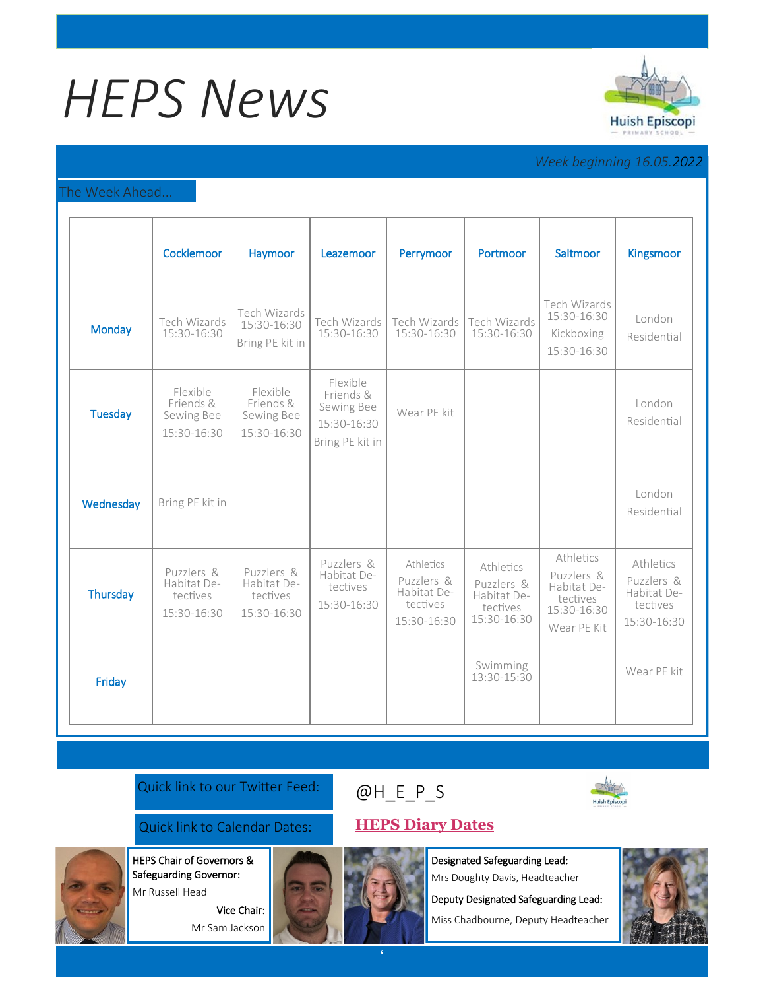# *HEPS News*



# *Week beginning 16.05.2022*

# The Week Ahead...

|                | Cocklemoor                                           | Haymoor                                              | Leazemoor                                                             | Perrymoor                                                         | Portmoor                                                          | Saltmoor                                                                         | Kingsmoor                                                         |
|----------------|------------------------------------------------------|------------------------------------------------------|-----------------------------------------------------------------------|-------------------------------------------------------------------|-------------------------------------------------------------------|----------------------------------------------------------------------------------|-------------------------------------------------------------------|
| <b>Monday</b>  | Tech Wizards<br>15:30-16:30                          | Tech Wizards<br>15:30-16:30<br>Bring PE kit in       | Tech Wizards<br>15:30-16:30                                           | Tech Wizards<br>15:30-16:30                                       | Tech Wizards<br>15:30-16:30                                       | Tech Wizards<br>15:30-16:30<br>Kickboxing<br>15:30-16:30                         | London<br>Residential                                             |
| <b>Tuesday</b> | Flexible<br>Friends &<br>Sewing Bee<br>15:30-16:30   | Flexible<br>Friends &<br>Sewing Bee<br>15:30-16:30   | Flexible<br>Friends &<br>Sewing Bee<br>15:30-16:30<br>Bring PE kit in | Wear PE kit                                                       |                                                                   |                                                                                  | London<br>Residential                                             |
| Wednesday      | Bring PE kit in                                      |                                                      |                                                                       |                                                                   |                                                                   |                                                                                  | London<br>Residential                                             |
| Thursday       | Puzzlers &<br>Habitat De-<br>tectives<br>15:30-16:30 | Puzzlers &<br>Habitat De-<br>tectives<br>15:30-16:30 | Puzzlers &<br>Habitat De-<br>tectives<br>15:30-16:30                  | Athletics<br>Puzzlers &<br>Habitat De-<br>tectives<br>15:30-16:30 | Athletics<br>Puzzlers &<br>Habitat De-<br>tectives<br>15:30-16:30 | Athletics<br>Puzzlers &<br>Habitat De-<br>tectives<br>15:30-16:30<br>Wear PE Kit | Athletics<br>Puzzlers &<br>Habitat De-<br>tectives<br>15:30-16:30 |
| Friday         |                                                      |                                                      |                                                                       |                                                                   | Swimming<br>13:30-15:30                                           |                                                                                  | Wear PE kit                                                       |

Quick link to our Twitter Feed:

# [@H\\_E\\_](https://huishepiscopiprimary.co.uk/diary-dates/)P\_S



Quick link to Calendar Dates: **[HEPS Diary Dates](https://huishepiscopiprimary.co.uk/diary-dates/)**

Vice Chair: Mr Sam Jackson

HEPS Chair of Governors & Safeguarding Governor: Mr Russell Head

Designated Safeguarding Lead: Mrs Doughty Davis, Headteacher

Deputy Designated Safeguarding Lead:

Miss Chadbourne, Deputy Headteacher